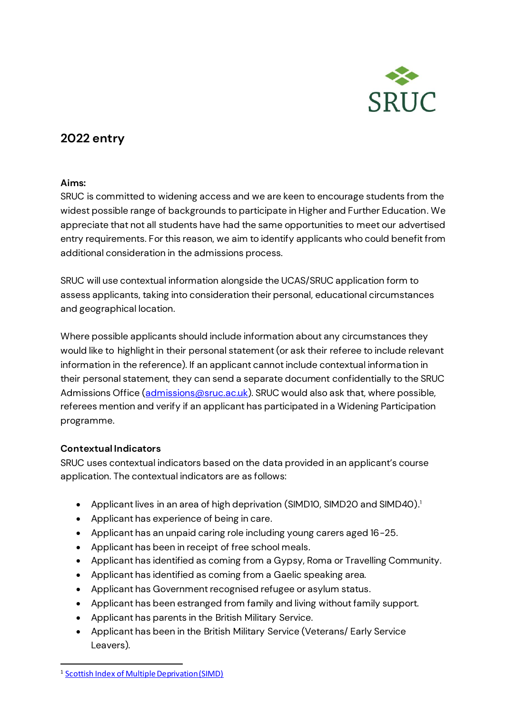

# **2022 entry**

#### **Aims:**

SRUC is committed to widening access and we are keen to encourage students from the widest possible range of backgrounds to participate in Higher and Further Education. We appreciate that not all students have had the same opportunities to meet our advertised entry requirements. For this reason, we aim to identify applicants who could benefit from additional consideration in the admissions process.

SRUC will use contextual information alongside the UCAS/SRUC application form to assess applicants, taking into consideration their personal, educational circumstances and geographical location.

Where possible applicants should include information about any circumstances they would like to highlight in their personal statement (or ask their referee to include relevant information in the reference). If an applicant cannot include contextual information in their personal statement, they can send a separate document confidentially to the SRUC Admissions Office [\(admissions@sruc.ac.uk](mailto:admissions@sruc.ac.uk)). SRUC would also ask that, where possible, referees mention and verify if an applicant has participated in a Widening Participation programme.

#### **Contextual Indicators**

SRUC uses contextual indicators based on the data provided in an applicant's course application. The contextual indicators are as follows:

- Applicant lives in an area of high deprivation (SIMD10, SIMD20 and SIMD40). 1
- Applicant has experience of being in care.
- Applicant has an unpaid caring role including young carers aged 16-25.
- Applicant has been in receipt of free school meals.
- Applicant has identified as coming from a Gypsy, Roma or Travelling Community.
- Applicant has identified as coming from a Gaelic speaking area.
- Applicant has Government recognised refugee or asylum status.
- Applicant has been estranged from family and living without family support.
- Applicant has parents in the British Military Service.
- Applicant has been in the British Military Service (Veterans/ Early Service Leavers).

<sup>1</sup> [Scottish Index of Multiple Deprivation \(SIMD\)](https://www.gov.scot/collections/scottish-index-of-multiple-deprivation-2020/)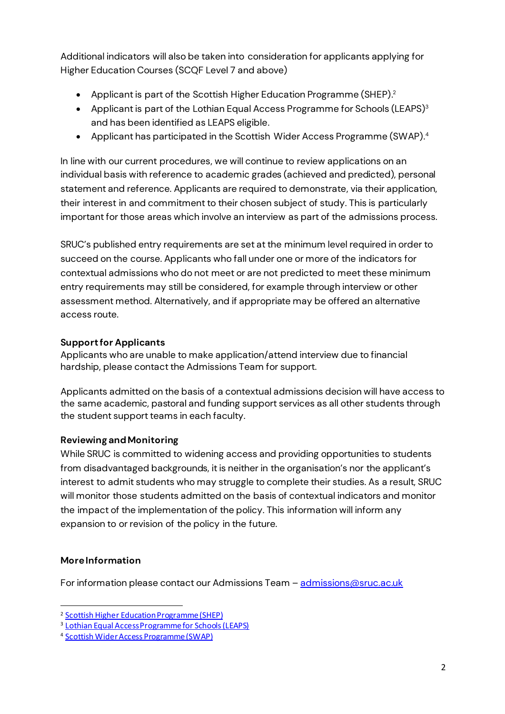Additional indicators will also be taken into consideration for applicants applying for Higher Education Courses (SCQF Level 7 and above)

- $\bullet$  Applicant is part of the Scottish Higher Education Programme (SHEP). $^2$
- Applicant is part of the Lothian Equal Access Programme for Schools (LEAPS) $3$ and has been identified as LEAPS eligible.
- Applicant has participated in the Scottish Wider Access Programme (SWAP). 4

In line with our current procedures, we will continue to review applications on an individual basis with reference to academic grades (achieved and predicted), personal statement and reference. Applicants are required to demonstrate, via their application, their interest in and commitment to their chosen subject of study. This is particularly important for those areas which involve an interview as part of the admissions process.

SRUC's published entry requirements are set at the minimum level required in order to succeed on the course. Applicants who fall under one or more of the indicators for contextual admissions who do not meet or are not predicted to meet these minimum entry requirements may still be considered, for example through interview or other assessment method. Alternatively, and if appropriate may be offered an alternative access route.

## **Support for Applicants**

Applicants who are unable to make application/attend interview due to financial hardship, please contact the Admissions Team for support.

Applicants admitted on the basis of a contextual admissions decision will have access to the same academic, pastoral and funding support services as all other students through the student support teams in each faculty.

## **Reviewing and Monitoring**

While SRUC is committed to widening access and providing opportunities to students from disadvantaged backgrounds, it is neither in the organisation's nor the applicant's interest to admit students who may struggle to complete their studies. As a result, SRUC will monitor those students admitted on the basis of contextual indicators and monitor the impact of the implementation of the policy. This information will inform any expansion to or revision of the policy in the future.

## **More Information**

For information please contact our Admissions Team - [admissions@sruc.ac.uk](mailto:admissions@sruc.ac.uk)

<sup>2</sup> [Scottish Higher Education Programme \(SHEP\)](http://www.sfc.ac.uk/access-inclusion/access-initiatives/shep/schools-higher-education-programme.aspx)

<sup>3</sup> [Lothian Equal Access Programme for Schools \(LEAPS\)](https://www.leapsonline.org/)

<sup>4</sup> [Scottish Wider Access Programme \(SWAP\)](http://www.scottishwideraccess.org/)